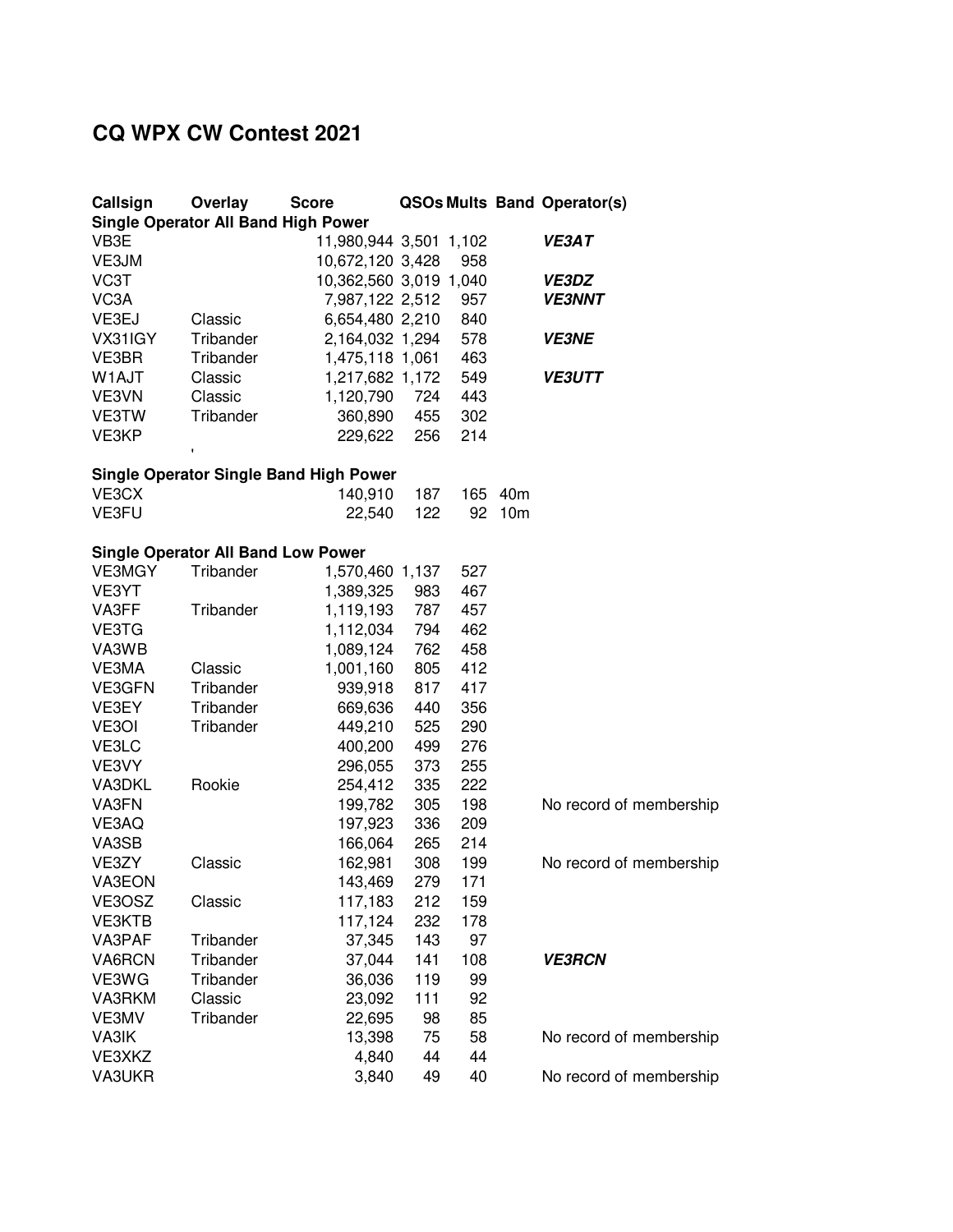## **CQ WPX CW Contest 2021**

| Callsign                                      | Overlay                                   | <b>Score</b>           | <b>QSOs Mults Band Operator(s)</b> |     |                 |                         |  |  |  |  |  |
|-----------------------------------------------|-------------------------------------------|------------------------|------------------------------------|-----|-----------------|-------------------------|--|--|--|--|--|
| <b>Single Operator All Band High Power</b>    |                                           |                        |                                    |     |                 |                         |  |  |  |  |  |
| VB3E                                          |                                           | 11,980,944 3,501 1,102 |                                    |     |                 | <b>VE3AT</b>            |  |  |  |  |  |
| VE3JM                                         |                                           | 10,672,120 3,428       |                                    | 958 |                 |                         |  |  |  |  |  |
| VC3T                                          |                                           | 10,362,560 3,019 1,040 |                                    |     |                 | <b>VE3DZ</b>            |  |  |  |  |  |
| VC3A                                          |                                           | 7,987,122 2,512        |                                    | 957 |                 | <b>VE3NNT</b>           |  |  |  |  |  |
| VE3EJ                                         | Classic                                   | 6,654,480 2,210        |                                    | 840 |                 |                         |  |  |  |  |  |
| VX31IGY                                       | Tribander                                 | 2,164,032 1,294        |                                    | 578 |                 | <b>VE3NE</b>            |  |  |  |  |  |
| VE3BR                                         | Tribander                                 | 1,475,118 1,061        |                                    | 463 |                 |                         |  |  |  |  |  |
| W1AJT                                         | Classic                                   | 1,217,682 1,172        |                                    | 549 |                 | <b>VE3UTT</b>           |  |  |  |  |  |
| VE3VN                                         | Classic                                   | 1,120,790              | 724                                | 443 |                 |                         |  |  |  |  |  |
| VE3TW                                         | Tribander                                 | 360,890                | 455                                | 302 |                 |                         |  |  |  |  |  |
| VE3KP                                         |                                           | 229,622                | 256                                | 214 |                 |                         |  |  |  |  |  |
|                                               | $\pmb{\mathsf{I}}$                        |                        |                                    |     |                 |                         |  |  |  |  |  |
| <b>Single Operator Single Band High Power</b> |                                           |                        |                                    |     |                 |                         |  |  |  |  |  |
| VE3CX                                         |                                           | 140,910                | 187                                | 165 | 40 <sub>m</sub> |                         |  |  |  |  |  |
| VE3FU                                         |                                           | 22,540                 | 122                                | 92  | 10 <sub>m</sub> |                         |  |  |  |  |  |
|                                               |                                           |                        |                                    |     |                 |                         |  |  |  |  |  |
|                                               | <b>Single Operator All Band Low Power</b> |                        |                                    |     |                 |                         |  |  |  |  |  |
| VE3MGY                                        | Tribander                                 | 1,570,460 1,137        |                                    | 527 |                 |                         |  |  |  |  |  |
| VE3YT                                         |                                           | 1,389,325              | 983                                | 467 |                 |                         |  |  |  |  |  |
| VA3FF                                         | Tribander                                 | 1,119,193              | 787                                | 457 |                 |                         |  |  |  |  |  |
| VE3TG                                         |                                           | 1,112,034              | 794                                | 462 |                 |                         |  |  |  |  |  |
| VA3WB                                         |                                           | 1,089,124              | 762                                | 458 |                 |                         |  |  |  |  |  |
| VE3MA                                         | Classic                                   | 1,001,160              | 805                                | 412 |                 |                         |  |  |  |  |  |
| VE3GFN                                        | Tribander                                 | 939,918                | 817                                | 417 |                 |                         |  |  |  |  |  |
| VE3EY                                         | Tribander                                 | 669,636                | 440                                | 356 |                 |                         |  |  |  |  |  |
| VE3OI                                         | Tribander                                 | 449,210                | 525                                | 290 |                 |                         |  |  |  |  |  |
| VE3LC                                         |                                           | 400,200                | 499                                | 276 |                 |                         |  |  |  |  |  |
| VE3VY                                         |                                           | 296,055                | 373                                | 255 |                 |                         |  |  |  |  |  |
| VA3DKL                                        | Rookie                                    | 254,412                | 335                                | 222 |                 |                         |  |  |  |  |  |
| VA3FN                                         |                                           | 199,782                | 305                                | 198 |                 | No record of membership |  |  |  |  |  |
| VE3AQ                                         |                                           | 197,923                | 336                                | 209 |                 |                         |  |  |  |  |  |
| VA3SB                                         |                                           | 166,064                | 265                                | 214 |                 |                         |  |  |  |  |  |
| VE3ZY                                         | Classic                                   | 162,981                | 308                                | 199 |                 | No record of membership |  |  |  |  |  |
| VA3EON                                        |                                           | 143,469                | 279                                | 171 |                 |                         |  |  |  |  |  |
| VE3OSZ                                        | Classic                                   | 117,183                | 212                                | 159 |                 |                         |  |  |  |  |  |
| <b>VE3KTB</b>                                 |                                           | 117,124                | 232                                | 178 |                 |                         |  |  |  |  |  |
| VA3PAF                                        | Tribander                                 | 37,345                 | 143                                | 97  |                 |                         |  |  |  |  |  |
| VA6RCN                                        | Tribander                                 | 37,044                 | 141                                | 108 |                 | <b>VE3RCN</b>           |  |  |  |  |  |
| VE3WG                                         | Tribander                                 | 36,036                 | 119                                | 99  |                 |                         |  |  |  |  |  |
| VA3RKM                                        | Classic                                   | 23,092                 | 111                                | 92  |                 |                         |  |  |  |  |  |
| VE3MV                                         | Tribander                                 | 22,695                 | 98                                 | 85  |                 |                         |  |  |  |  |  |
| VA3IK                                         |                                           | 13,398                 | 75                                 | 58  |                 | No record of membership |  |  |  |  |  |
| VE3XKZ                                        |                                           | 4,840                  | 44                                 | 44  |                 |                         |  |  |  |  |  |
| VA3UKR                                        |                                           | 3,840                  | 49                                 | 40  |                 | No record of membership |  |  |  |  |  |
|                                               |                                           |                        |                                    |     |                 |                         |  |  |  |  |  |